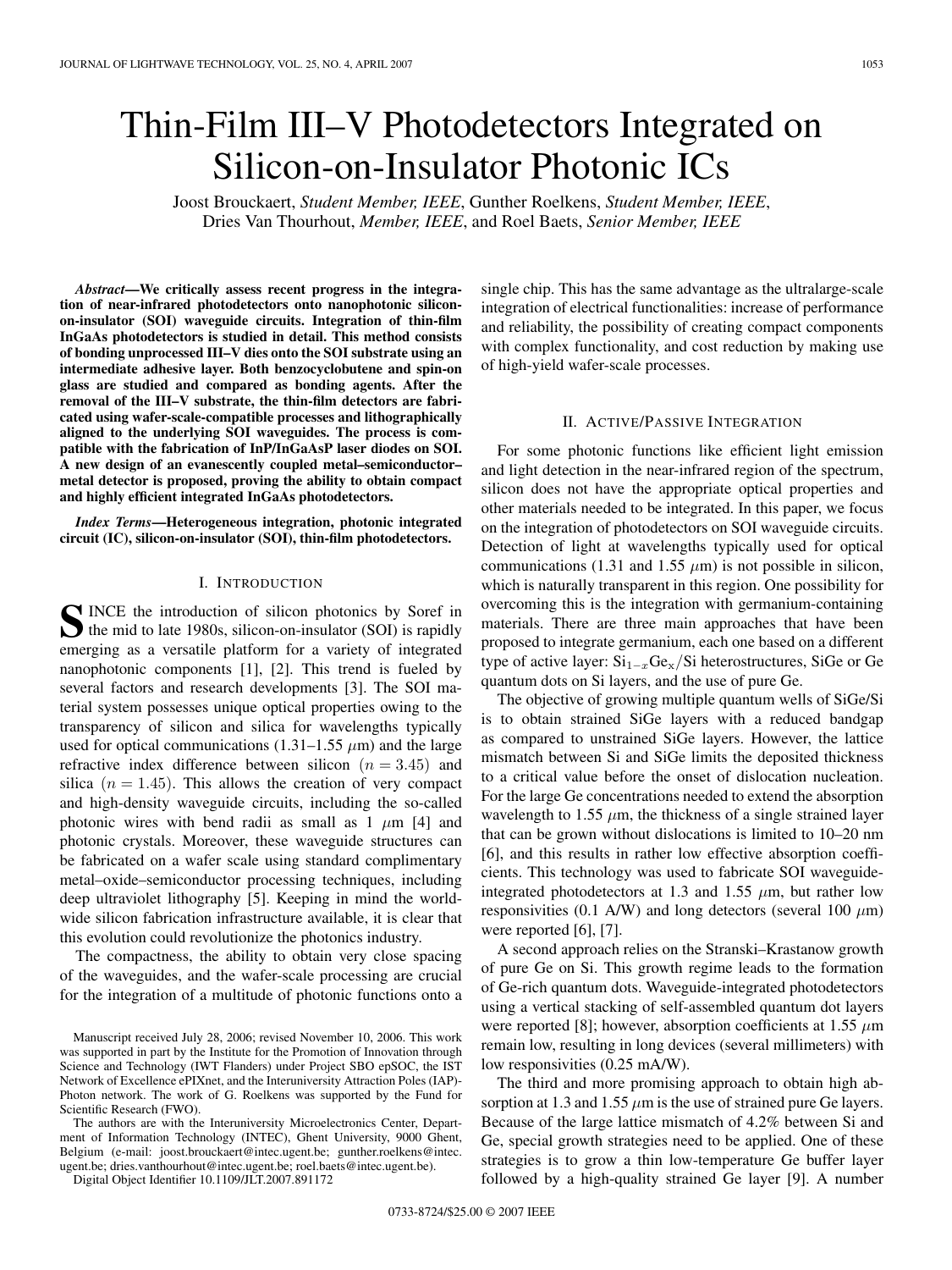# Thin-Film III–V Photodetectors Integrated on Silicon-on-Insulator Photonic ICs

Joost Brouckaert, *Student Member, IEEE*, Gunther Roelkens, *Student Member, IEEE*, Dries Van Thourhout, *Member, IEEE*, and Roel Baets, *Senior Member, IEEE*

*Abstract***—We critically assess recent progress in the integration of near-infrared photodetectors onto nanophotonic siliconon-insulator (SOI) waveguide circuits. Integration of thin-film InGaAs photodetectors is studied in detail. This method consists of bonding unprocessed III–V dies onto the SOI substrate using an intermediate adhesive layer. Both benzocyclobutene and spin-on glass are studied and compared as bonding agents. After the removal of the III–V substrate, the thin-film detectors are fabricated using wafer-scale-compatible processes and lithographically aligned to the underlying SOI waveguides. The process is compatible with the fabrication of InP/InGaAsP laser diodes on SOI. A new design of an evanescently coupled metal–semiconductor– metal detector is proposed, proving the ability to obtain compact and highly efficient integrated InGaAs photodetectors.**

*Index Terms***—Heterogeneous integration, photonic integrated circuit (IC), silicon-on-insulator (SOI), thin-film photodetectors.**

#### I. INTRODUCTION

SINCE the introduction of silicon photonics by Soref in<br>the mid to late 1980s, silicon-on-insulator (SOI) is rapidly<br>the mid to determine the contract of the state of the state of the state of the state of the state of the emerging as a versatile platform for a variety of integrated nanophotonic components [1], [2]. This trend is fueled by several factors and research developments [3]. The SOI material system possesses unique optical properties owing to the transparency of silicon and silica for wavelengths typically used for optical communications  $(1.31-1.55 \mu m)$  and the large refractive index difference between silicon  $(n = 3.45)$  and silica  $(n = 1.45)$ . This allows the creation of very compact and high-density waveguide circuits, including the so-called photonic wires with bend radii as small as  $1 \mu m$  [4] and photonic crystals. Moreover, these waveguide structures can be fabricated on a wafer scale using standard complimentary metal–oxide–semiconductor processing techniques, including deep ultraviolet lithography [5]. Keeping in mind the worldwide silicon fabrication infrastructure available, it is clear that this evolution could revolutionize the photonics industry.

The compactness, the ability to obtain very close spacing of the waveguides, and the wafer-scale processing are crucial for the integration of a multitude of photonic functions onto a

The authors are with the Interuniversity Microelectronics Center, Department of Information Technology (INTEC), Ghent University, 9000 Ghent, Belgium (e-mail: joost.brouckaert@intec.ugent.be; gunther.roelkens@intec. ugent.be; dries.vanthourhout@intec.ugent.be; roel.baets@intec.ugent.be).

Digital Object Identifier 10.1109/JLT.2007.891172

single chip. This has the same advantage as the ultralarge-scale integration of electrical functionalities: increase of performance and reliability, the possibility of creating compact components with complex functionality, and cost reduction by making use of high-yield wafer-scale processes.

## II. ACTIVE/PASSIVE INTEGRATION

For some photonic functions like efficient light emission and light detection in the near-infrared region of the spectrum, silicon does not have the appropriate optical properties and other materials needed to be integrated. In this paper, we focus on the integration of photodetectors on SOI waveguide circuits. Detection of light at wavelengths typically used for optical communications (1.31 and 1.55  $\mu$ m) is not possible in silicon, which is naturally transparent in this region. One possibility for overcoming this is the integration with germanium-containing materials. There are three main approaches that have been proposed to integrate germanium, each one based on a different type of active layer: Si<sup>1</sup>−*<sup>x</sup>*Gex*/*Si heterostructures, SiGe or Ge quantum dots on Si layers, and the use of pure Ge.

The objective of growing multiple quantum wells of SiGe/Si is to obtain strained SiGe layers with a reduced bandgap as compared to unstrained SiGe layers. However, the lattice mismatch between Si and SiGe limits the deposited thickness to a critical value before the onset of dislocation nucleation. For the large Ge concentrations needed to extend the absorption wavelength to 1.55  $\mu$ m, the thickness of a single strained layer that can be grown without dislocations is limited to 10–20 nm [6], and this results in rather low effective absorption coefficients. This technology was used to fabricate SOI waveguideintegrated photodetectors at 1.3 and 1.55  $\mu$ m, but rather low responsivities (0.1 A/W) and long detectors (several 100  $\mu$ m) were reported [6], [7].

A second approach relies on the Stranski–Krastanow growth of pure Ge on Si. This growth regime leads to the formation of Ge-rich quantum dots. Waveguide-integrated photodetectors using a vertical stacking of self-assembled quantum dot layers were reported [8]; however, absorption coefficients at 1.55 *µ*m remain low, resulting in long devices (several millimeters) with low responsivities (0.25 mA/W).

The third and more promising approach to obtain high absorption at 1.3 and 1.55  $\mu$ m is the use of strained pure Ge layers. Because of the large lattice mismatch of 4.2% between Si and Ge, special growth strategies need to be applied. One of these strategies is to grow a thin low-temperature Ge buffer layer followed by a high-quality strained Ge layer [9]. A number

Manuscript received July 28, 2006; revised November 10, 2006. This work was supported in part by the Institute for the Promotion of Innovation through Science and Technology (IWT Flanders) under Project SBO epSOC, the IST Network of Excellence ePIXnet, and the Interuniversity Attraction Poles (IAP)- Photon network. The work of G. Roelkens was supported by the Fund for Scientific Research (FWO).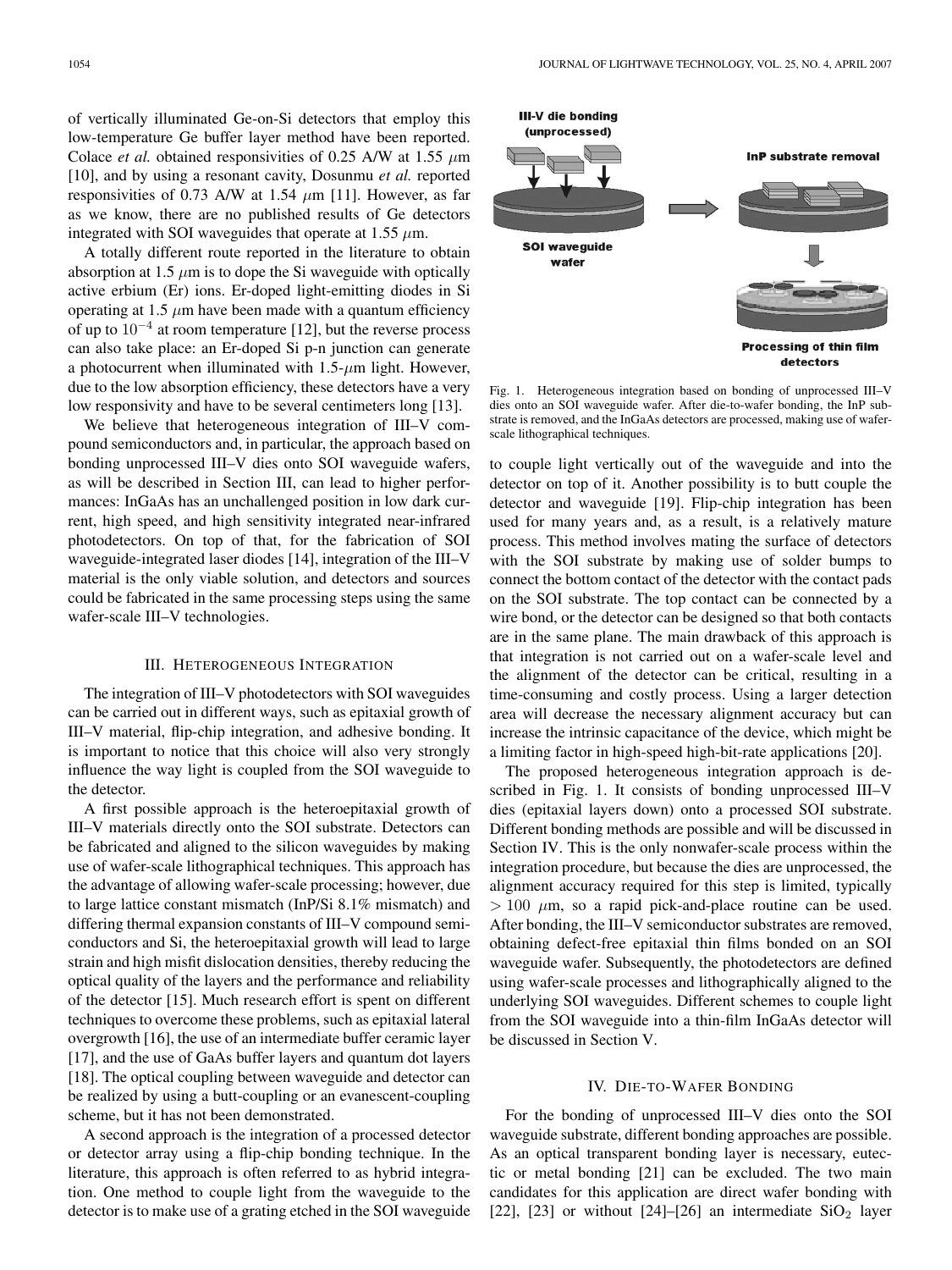of vertically illuminated Ge-on-Si detectors that employ this low-temperature Ge buffer layer method have been reported. Colace *et al.* obtained responsivities of 0.25 A/W at 1.55 *µ*m [10], and by using a resonant cavity, Dosunmu *et al.* reported responsivities of 0.73 A/W at 1.54  $\mu$ m [11]. However, as far as we know, there are no published results of Ge detectors integrated with SOI waveguides that operate at  $1.55 \mu m$ .

A totally different route reported in the literature to obtain absorption at 1.5  $\mu$ m is to dope the Si waveguide with optically active erbium (Er) ions. Er-doped light-emitting diodes in Si operating at 1.5  $\mu$ m have been made with a quantum efficiency of up to  $10^{-4}$  at room temperature [12], but the reverse process can also take place: an Er-doped Si p-n junction can generate a photocurrent when illuminated with 1.5-*µ*m light. However, due to the low absorption efficiency, these detectors have a very low responsivity and have to be several centimeters long [13].

We believe that heterogeneous integration of III–V compound semiconductors and, in particular, the approach based on bonding unprocessed III–V dies onto SOI waveguide wafers, as will be described in Section III, can lead to higher performances: InGaAs has an unchallenged position in low dark current, high speed, and high sensitivity integrated near-infrared photodetectors. On top of that, for the fabrication of SOI waveguide-integrated laser diodes [14], integration of the III–V material is the only viable solution, and detectors and sources could be fabricated in the same processing steps using the same wafer-scale III–V technologies.

## III. HETEROGENEOUS INTEGRATION

The integration of III–V photodetectors with SOI waveguides can be carried out in different ways, such as epitaxial growth of III–V material, flip-chip integration, and adhesive bonding. It is important to notice that this choice will also very strongly influence the way light is coupled from the SOI waveguide to the detector.

A first possible approach is the heteroepitaxial growth of III–V materials directly onto the SOI substrate. Detectors can be fabricated and aligned to the silicon waveguides by making use of wafer-scale lithographical techniques. This approach has the advantage of allowing wafer-scale processing; however, due to large lattice constant mismatch (InP/Si 8.1% mismatch) and differing thermal expansion constants of III–V compound semiconductors and Si, the heteroepitaxial growth will lead to large strain and high misfit dislocation densities, thereby reducing the optical quality of the layers and the performance and reliability of the detector [15]. Much research effort is spent on different techniques to overcome these problems, such as epitaxial lateral overgrowth [16], the use of an intermediate buffer ceramic layer [17], and the use of GaAs buffer layers and quantum dot layers [18]. The optical coupling between waveguide and detector can be realized by using a butt-coupling or an evanescent-coupling scheme, but it has not been demonstrated.

A second approach is the integration of a processed detector or detector array using a flip-chip bonding technique. In the literature, this approach is often referred to as hybrid integration. One method to couple light from the waveguide to the detector is to make use of a grating etched in the SOI waveguide



Fig. 1. Heterogeneous integration based on bonding of unprocessed III–V dies onto an SOI waveguide wafer. After die-to-wafer bonding, the InP substrate is removed, and the InGaAs detectors are processed, making use of waferscale lithographical techniques.

to couple light vertically out of the waveguide and into the detector on top of it. Another possibility is to butt couple the detector and waveguide [19]. Flip-chip integration has been used for many years and, as a result, is a relatively mature process. This method involves mating the surface of detectors with the SOI substrate by making use of solder bumps to connect the bottom contact of the detector with the contact pads on the SOI substrate. The top contact can be connected by a wire bond, or the detector can be designed so that both contacts are in the same plane. The main drawback of this approach is that integration is not carried out on a wafer-scale level and the alignment of the detector can be critical, resulting in a time-consuming and costly process. Using a larger detection area will decrease the necessary alignment accuracy but can increase the intrinsic capacitance of the device, which might be a limiting factor in high-speed high-bit-rate applications [20].

The proposed heterogeneous integration approach is described in Fig. 1. It consists of bonding unprocessed III–V dies (epitaxial layers down) onto a processed SOI substrate. Different bonding methods are possible and will be discussed in Section IV. This is the only nonwafer-scale process within the integration procedure, but because the dies are unprocessed, the alignment accuracy required for this step is limited, typically  $> 100 \mu$ m, so a rapid pick-and-place routine can be used. After bonding, the III–V semiconductor substrates are removed, obtaining defect-free epitaxial thin films bonded on an SOI waveguide wafer. Subsequently, the photodetectors are defined using wafer-scale processes and lithographically aligned to the underlying SOI waveguides. Different schemes to couple light from the SOI waveguide into a thin-film InGaAs detector will be discussed in Section V.

#### IV. DIE-TO-WAFER BONDING

For the bonding of unprocessed III–V dies onto the SOI waveguide substrate, different bonding approaches are possible. As an optical transparent bonding layer is necessary, eutectic or metal bonding [21] can be excluded. The two main candidates for this application are direct wafer bonding with [22], [23] or without [24]–[26] an intermediate  $SiO<sub>2</sub>$  layer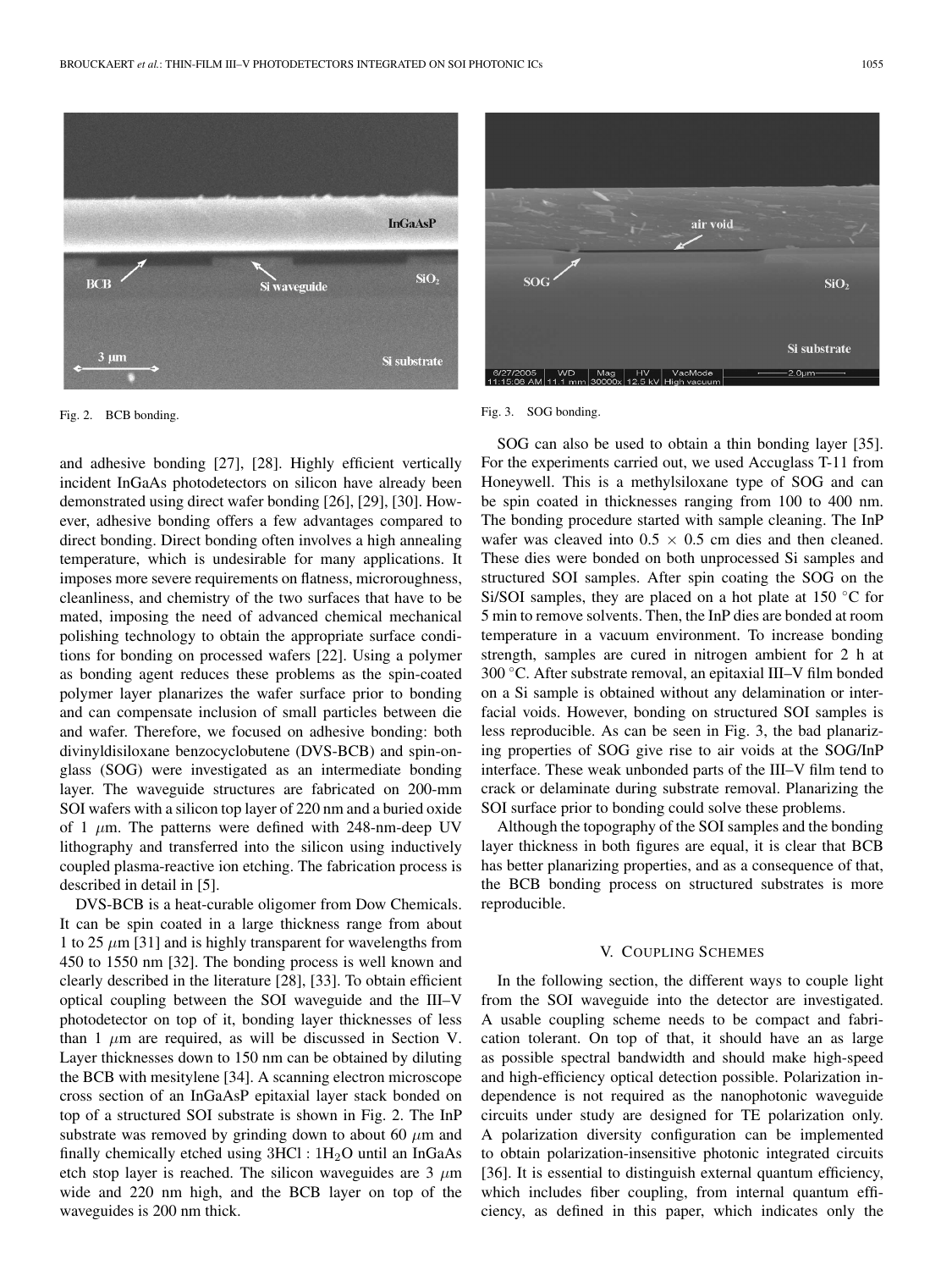

Fig. 2. BCB bonding.

and adhesive bonding [27], [28]. Highly efficient vertically incident InGaAs photodetectors on silicon have already been demonstrated using direct wafer bonding [26], [29], [30]. However, adhesive bonding offers a few advantages compared to direct bonding. Direct bonding often involves a high annealing temperature, which is undesirable for many applications. It imposes more severe requirements on flatness, microroughness, cleanliness, and chemistry of the two surfaces that have to be mated, imposing the need of advanced chemical mechanical polishing technology to obtain the appropriate surface conditions for bonding on processed wafers [22]. Using a polymer as bonding agent reduces these problems as the spin-coated polymer layer planarizes the wafer surface prior to bonding and can compensate inclusion of small particles between die and wafer. Therefore, we focused on adhesive bonding: both divinyldisiloxane benzocyclobutene (DVS-BCB) and spin-onglass (SOG) were investigated as an intermediate bonding layer. The waveguide structures are fabricated on 200-mm SOI wafers with a silicon top layer of 220 nm and a buried oxide of 1 *µ*m. The patterns were defined with 248-nm-deep UV lithography and transferred into the silicon using inductively coupled plasma-reactive ion etching. The fabrication process is described in detail in [5].

DVS-BCB is a heat-curable oligomer from Dow Chemicals. It can be spin coated in a large thickness range from about 1 to 25  $\mu$ m [31] and is highly transparent for wavelengths from 450 to 1550 nm [32]. The bonding process is well known and clearly described in the literature [28], [33]. To obtain efficient optical coupling between the SOI waveguide and the III–V photodetector on top of it, bonding layer thicknesses of less than  $1 \mu m$  are required, as will be discussed in Section V. Layer thicknesses down to 150 nm can be obtained by diluting the BCB with mesitylene [34]. A scanning electron microscope cross section of an InGaAsP epitaxial layer stack bonded on top of a structured SOI substrate is shown in Fig. 2. The InP substrate was removed by grinding down to about 60  $\mu$ m and finally chemically etched using  $3HCl : 1H<sub>2</sub>O$  until an InGaAs etch stop layer is reached. The silicon waveguides are 3 *µ*m wide and 220 nm high, and the BCB layer on top of the waveguides is 200 nm thick.





SOG can also be used to obtain a thin bonding layer [35]. For the experiments carried out, we used Accuglass T-11 from Honeywell. This is a methylsiloxane type of SOG and can be spin coated in thicknesses ranging from 100 to 400 nm. The bonding procedure started with sample cleaning. The InP wafer was cleaved into  $0.5 \times 0.5$  cm dies and then cleaned. These dies were bonded on both unprocessed Si samples and structured SOI samples. After spin coating the SOG on the Si/SOI samples, they are placed on a hot plate at  $150\degree C$  for 5 min to remove solvents. Then, the InP dies are bonded at room temperature in a vacuum environment. To increase bonding strength, samples are cured in nitrogen ambient for 2 h at 300 ◦C. After substrate removal, an epitaxial III–V film bonded on a Si sample is obtained without any delamination or interfacial voids. However, bonding on structured SOI samples is less reproducible. As can be seen in Fig. 3, the bad planarizing properties of SOG give rise to air voids at the SOG/InP interface. These weak unbonded parts of the III–V film tend to crack or delaminate during substrate removal. Planarizing the SOI surface prior to bonding could solve these problems.

Although the topography of the SOI samples and the bonding layer thickness in both figures are equal, it is clear that BCB has better planarizing properties, and as a consequence of that, the BCB bonding process on structured substrates is more reproducible.

### V. COUPLING SCHEMES

In the following section, the different ways to couple light from the SOI waveguide into the detector are investigated. A usable coupling scheme needs to be compact and fabrication tolerant. On top of that, it should have an as large as possible spectral bandwidth and should make high-speed and high-efficiency optical detection possible. Polarization independence is not required as the nanophotonic waveguide circuits under study are designed for TE polarization only. A polarization diversity configuration can be implemented to obtain polarization-insensitive photonic integrated circuits [36]. It is essential to distinguish external quantum efficiency, which includes fiber coupling, from internal quantum efficiency, as defined in this paper, which indicates only the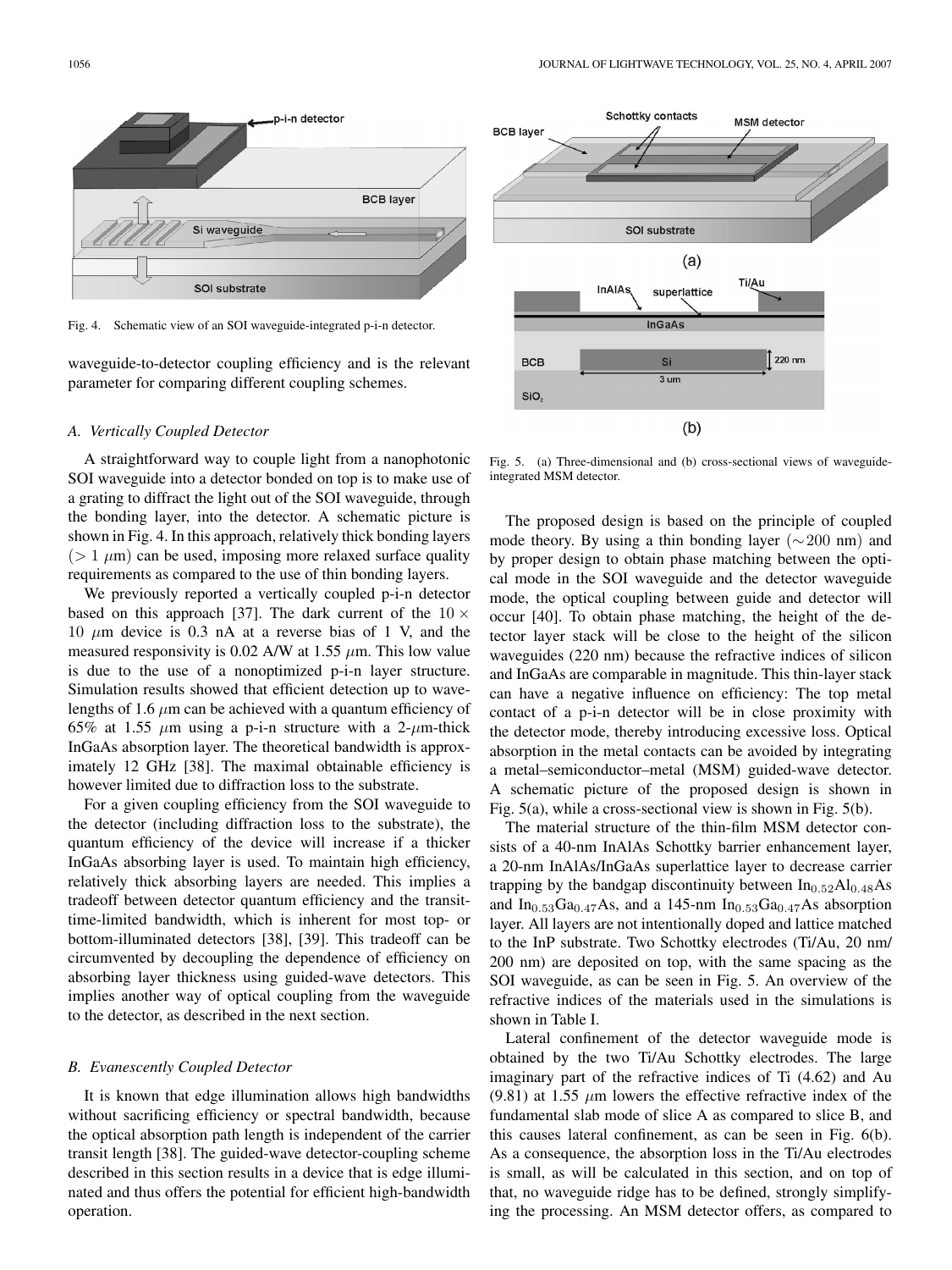

Fig. 4. Schematic view of an SOI waveguide-integrated p-i-n detector.

waveguide-to-detector coupling efficiency and is the relevant parameter for comparing different coupling schemes.

# *A. Vertically Coupled Detector*

A straightforward way to couple light from a nanophotonic SOI waveguide into a detector bonded on top is to make use of a grating to diffract the light out of the SOI waveguide, through the bonding layer, into the detector. A schematic picture is shown in Fig. 4. In this approach, relatively thick bonding layers  $(> 1 \mu m)$  can be used, imposing more relaxed surface quality requirements as compared to the use of thin bonding layers.

We previously reported a vertically coupled p-i-n detector based on this approach [37]. The dark current of the  $10 \times$ 10  $\mu$ m device is 0.3 nA at a reverse bias of 1 V, and the measured responsivity is 0.02 A/W at 1.55 *µ*m. This low value is due to the use of a nonoptimized p-i-n layer structure. Simulation results showed that efficient detection up to wavelengths of 1.6  $\mu$ m can be achieved with a quantum efficiency of 65% at 1.55  $\mu$ m using a p-i-n structure with a 2- $\mu$ m-thick InGaAs absorption layer. The theoretical bandwidth is approximately 12 GHz [38]. The maximal obtainable efficiency is however limited due to diffraction loss to the substrate.

For a given coupling efficiency from the SOI waveguide to the detector (including diffraction loss to the substrate), the quantum efficiency of the device will increase if a thicker InGaAs absorbing layer is used. To maintain high efficiency, relatively thick absorbing layers are needed. This implies a tradeoff between detector quantum efficiency and the transittime-limited bandwidth, which is inherent for most top- or bottom-illuminated detectors [38], [39]. This tradeoff can be circumvented by decoupling the dependence of efficiency on absorbing layer thickness using guided-wave detectors. This implies another way of optical coupling from the waveguide to the detector, as described in the next section.

## *B. Evanescently Coupled Detector*

It is known that edge illumination allows high bandwidths without sacrificing efficiency or spectral bandwidth, because the optical absorption path length is independent of the carrier transit length [38]. The guided-wave detector-coupling scheme described in this section results in a device that is edge illuminated and thus offers the potential for efficient high-bandwidth operation.



Fig. 5. (a) Three-dimensional and (b) cross-sectional views of waveguideintegrated MSM detector.

The proposed design is based on the principle of coupled mode theory. By using a thin bonding layer ( $\sim$ 200 nm) and by proper design to obtain phase matching between the optical mode in the SOI waveguide and the detector waveguide mode, the optical coupling between guide and detector will occur [40]. To obtain phase matching, the height of the detector layer stack will be close to the height of the silicon waveguides (220 nm) because the refractive indices of silicon and InGaAs are comparable in magnitude. This thin-layer stack can have a negative influence on efficiency: The top metal contact of a p-i-n detector will be in close proximity with the detector mode, thereby introducing excessive loss. Optical absorption in the metal contacts can be avoided by integrating a metal–semiconductor–metal (MSM) guided-wave detector. A schematic picture of the proposed design is shown in Fig. 5(a), while a cross-sectional view is shown in Fig. 5(b).

The material structure of the thin-film MSM detector consists of a 40-nm InAlAs Schottky barrier enhancement layer, a 20-nm InAlAs/InGaAs superlattice layer to decrease carrier trapping by the bandgap discontinuity between  $In<sub>0.52</sub>Al<sub>0.48</sub>As$ and  $In_{0.53}Ga_{0.47}As$ , and a 145-nm  $In_{0.53}Ga_{0.47}As$  absorption layer. All layers are not intentionally doped and lattice matched to the InP substrate. Two Schottky electrodes (Ti/Au, 20 nm/ 200 nm) are deposited on top, with the same spacing as the SOI waveguide, as can be seen in Fig. 5. An overview of the refractive indices of the materials used in the simulations is shown in Table I.

Lateral confinement of the detector waveguide mode is obtained by the two Ti/Au Schottky electrodes. The large imaginary part of the refractive indices of Ti (4.62) and Au (9.81) at 1.55  $\mu$ m lowers the effective refractive index of the fundamental slab mode of slice A as compared to slice B, and this causes lateral confinement, as can be seen in Fig. 6(b). As a consequence, the absorption loss in the Ti/Au electrodes is small, as will be calculated in this section, and on top of that, no waveguide ridge has to be defined, strongly simplifying the processing. An MSM detector offers, as compared to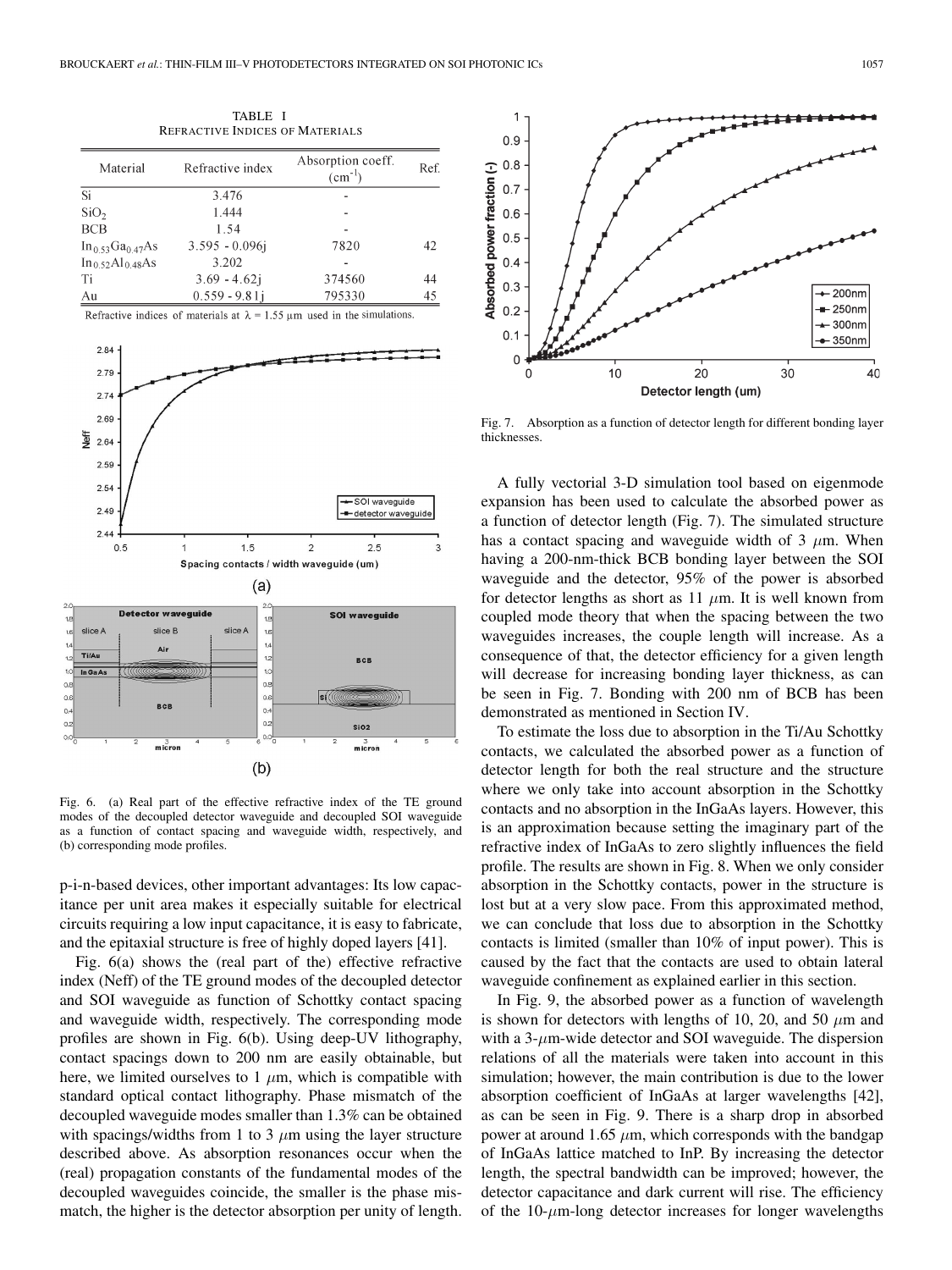| <b>REFRACTIVE INDICES OF MATERIALS</b> |                   |                                  |      |
|----------------------------------------|-------------------|----------------------------------|------|
| Material                               | Refractive index  | Absorption coeff.<br>$(cm^{-1})$ | Ref. |
| Si                                     | 3.476             |                                  |      |
| SiO <sub>2</sub>                       | 1.444             |                                  |      |
| <b>BCB</b>                             | 1.54              |                                  |      |
| $In_{0.53}Ga_{0.47}As$                 | $3.595 - 0.096$ j | 7820                             | 42   |
| $In_0$ 52Al <sub>0</sub> 48As          | 3.202             |                                  |      |
| Ti                                     | $3.69 - 4.62j$    | 374560                           | 44   |
| Au                                     | $0.559 - 9.81i$   | 795330                           | 45   |

TABLE I

Refractive indices of materials at  $\lambda = 1.55 \mu m$  used in the simulations



Fig. 6. (a) Real part of the effective refractive index of the TE ground modes of the decoupled detector waveguide and decoupled SOI waveguide as a function of contact spacing and waveguide width, respectively, and (b) corresponding mode profiles.

p-i-n-based devices, other important advantages: Its low capacitance per unit area makes it especially suitable for electrical circuits requiring a low input capacitance, it is easy to fabricate, and the epitaxial structure is free of highly doped layers [41].

Fig. 6(a) shows the (real part of the) effective refractive index (Neff) of the TE ground modes of the decoupled detector and SOI waveguide as function of Schottky contact spacing and waveguide width, respectively. The corresponding mode profiles are shown in Fig. 6(b). Using deep-UV lithography, contact spacings down to 200 nm are easily obtainable, but here, we limited ourselves to  $1 \mu m$ , which is compatible with standard optical contact lithography. Phase mismatch of the decoupled waveguide modes smaller than 1.3% can be obtained with spacings/widths from 1 to 3  $\mu$ m using the layer structure described above. As absorption resonances occur when the (real) propagation constants of the fundamental modes of the decoupled waveguides coincide, the smaller is the phase mismatch, the higher is the detector absorption per unity of length.



Fig. 7. Absorption as a function of detector length for different bonding layer thicknesses.

A fully vectorial 3-D simulation tool based on eigenmode expansion has been used to calculate the absorbed power as a function of detector length (Fig. 7). The simulated structure has a contact spacing and waveguide width of 3  $\mu$ m. When having a 200-nm-thick BCB bonding layer between the SOI waveguide and the detector, 95% of the power is absorbed for detector lengths as short as 11  $\mu$ m. It is well known from coupled mode theory that when the spacing between the two waveguides increases, the couple length will increase. As a consequence of that, the detector efficiency for a given length will decrease for increasing bonding layer thickness, as can be seen in Fig. 7. Bonding with 200 nm of BCB has been demonstrated as mentioned in Section IV.

To estimate the loss due to absorption in the Ti/Au Schottky contacts, we calculated the absorbed power as a function of detector length for both the real structure and the structure where we only take into account absorption in the Schottky contacts and no absorption in the InGaAs layers. However, this is an approximation because setting the imaginary part of the refractive index of InGaAs to zero slightly influences the field profile. The results are shown in Fig. 8. When we only consider absorption in the Schottky contacts, power in the structure is lost but at a very slow pace. From this approximated method, we can conclude that loss due to absorption in the Schottky contacts is limited (smaller than 10% of input power). This is caused by the fact that the contacts are used to obtain lateral waveguide confinement as explained earlier in this section.

In Fig. 9, the absorbed power as a function of wavelength is shown for detectors with lengths of 10, 20, and 50  $\mu$ m and with a 3-*µ*m-wide detector and SOI waveguide. The dispersion relations of all the materials were taken into account in this simulation; however, the main contribution is due to the lower absorption coefficient of InGaAs at larger wavelengths [42], as can be seen in Fig. 9. There is a sharp drop in absorbed power at around 1.65  $\mu$ m, which corresponds with the bandgap of InGaAs lattice matched to InP. By increasing the detector length, the spectral bandwidth can be improved; however, the detector capacitance and dark current will rise. The efficiency of the 10-*µ*m-long detector increases for longer wavelengths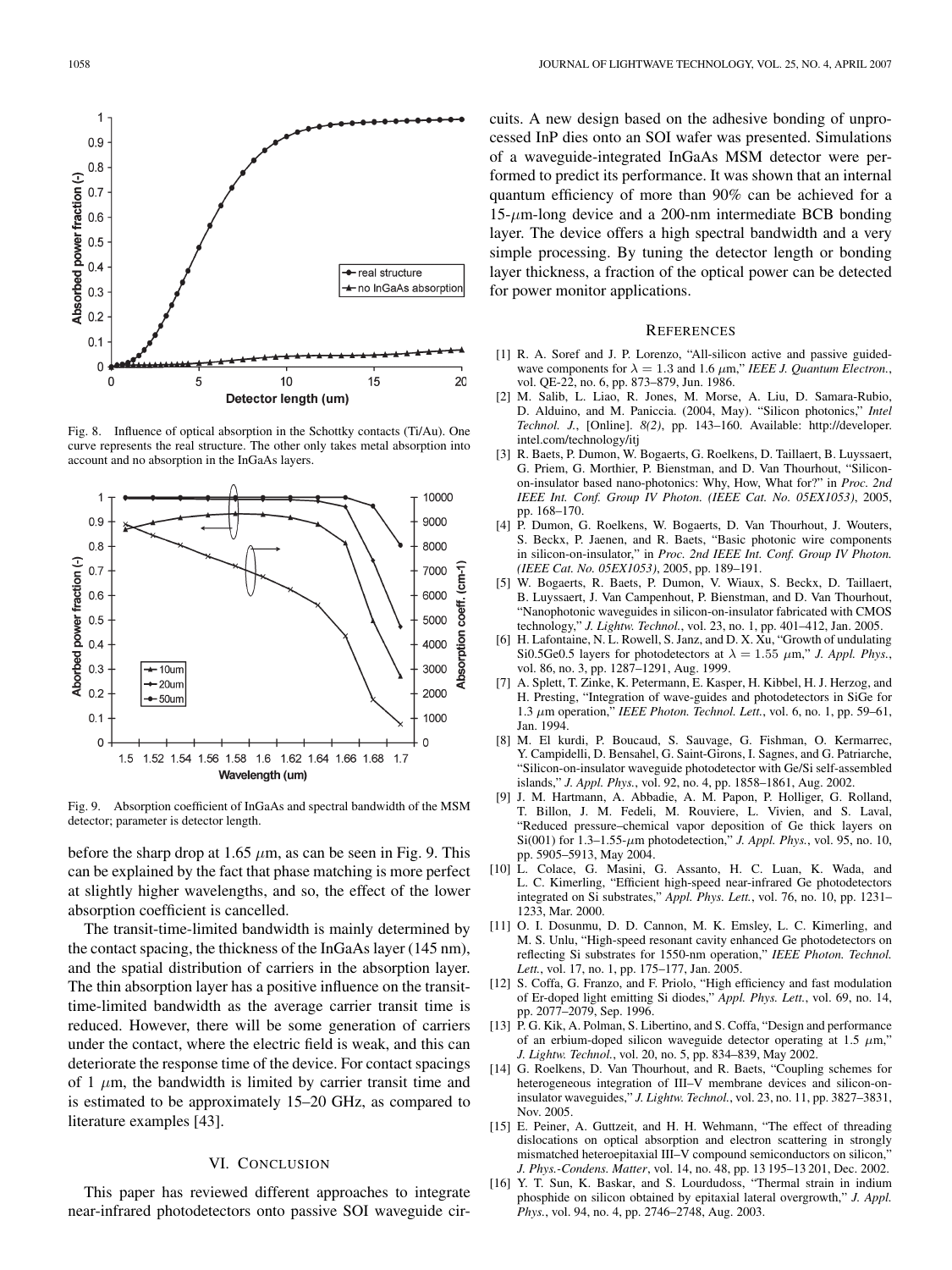

Fig. 8. Influence of optical absorption in the Schottky contacts (Ti/Au). One curve represents the real structure. The other only takes metal absorption into account and no absorption in the InGaAs layers.



Fig. 9. Absorption coefficient of InGaAs and spectral bandwidth of the MSM detector; parameter is detector length.

before the sharp drop at 1.65  $\mu$ m, as can be seen in Fig. 9. This can be explained by the fact that phase matching is more perfect at slightly higher wavelengths, and so, the effect of the lower absorption coefficient is cancelled.

The transit-time-limited bandwidth is mainly determined by the contact spacing, the thickness of the InGaAs layer (145 nm), and the spatial distribution of carriers in the absorption layer. The thin absorption layer has a positive influence on the transittime-limited bandwidth as the average carrier transit time is reduced. However, there will be some generation of carriers under the contact, where the electric field is weak, and this can deteriorate the response time of the device. For contact spacings of 1  $\mu$ m, the bandwidth is limited by carrier transit time and is estimated to be approximately 15–20 GHz, as compared to literature examples [43].

# VI. CONCLUSION

This paper has reviewed different approaches to integrate near-infrared photodetectors onto passive SOI waveguide circuits. A new design based on the adhesive bonding of unprocessed InP dies onto an SOI wafer was presented. Simulations of a waveguide-integrated InGaAs MSM detector were performed to predict its performance. It was shown that an internal quantum efficiency of more than 90% can be achieved for a 15-*µ*m-long device and a 200-nm intermediate BCB bonding layer. The device offers a high spectral bandwidth and a very simple processing. By tuning the detector length or bonding layer thickness, a fraction of the optical power can be detected for power monitor applications.

#### **REFERENCES**

- [1] R. A. Soref and J. P. Lorenzo, "All-silicon active and passive guidedwave components for  $\lambda = 1.3$  and 1.6  $\mu$ m," *IEEE J. Quantum Electron.*, vol. QE-22, no. 6, pp. 873–879, Jun. 1986.
- [2] M. Salib, L. Liao, R. Jones, M. Morse, A. Liu, D. Samara-Rubio, D. Alduino, and M. Paniccia. (2004, May). "Silicon photonics," *Intel Technol. J.*, [Online]. *8(2)*, pp. 143–160. Available: http://developer. intel.com/technology/itj
- [3] R. Baets, P. Dumon, W. Bogaerts, G. Roelkens, D. Taillaert, B. Luyssaert, G. Priem, G. Morthier, P. Bienstman, and D. Van Thourhout, "Siliconon-insulator based nano-photonics: Why, How, What for?" in *Proc. 2nd IEEE Int. Conf. Group IV Photon. (IEEE Cat. No. 05EX1053)*, 2005, pp. 168–170.
- [4] P. Dumon, G. Roelkens, W. Bogaerts, D. Van Thourhout, J. Wouters, S. Beckx, P. Jaenen, and R. Baets, "Basic photonic wire components in silicon-on-insulator," in *Proc. 2nd IEEE Int. Conf. Group IV Photon. (IEEE Cat. No. 05EX1053)*, 2005, pp. 189–191.
- [5] W. Bogaerts, R. Baets, P. Dumon, V. Wiaux, S. Beckx, D. Taillaert, B. Luyssaert, J. Van Campenhout, P. Bienstman, and D. Van Thourhout, "Nanophotonic waveguides in silicon-on-insulator fabricated with CMOS technology," *J. Lightw. Technol.*, vol. 23, no. 1, pp. 401–412, Jan. 2005.
- [6] H. Lafontaine, N. L. Rowell, S. Janz, and D. X. Xu, "Growth of undulating Si0.5Ge0.5 layers for photodetectors at  $\lambda = 1.55 \mu$ m," *J. Appl. Phys.*, vol. 86, no. 3, pp. 1287–1291, Aug. 1999.
- [7] A. Splett, T. Zinke, K. Petermann, E. Kasper, H. Kibbel, H. J. Herzog, and H. Presting, "Integration of wave-guides and photodetectors in SiGe for 1.3 µm operation," *IEEE Photon. Technol. Lett.*, vol. 6, no. 1, pp. 59–61, Jan. 1994.
- [8] M. El kurdi, P. Boucaud, S. Sauvage, G. Fishman, O. Kermarrec, Y. Campidelli, D. Bensahel, G. Saint-Girons, I. Sagnes, and G. Patriarche, "Silicon-on-insulator waveguide photodetector with Ge/Si self-assembled islands," *J. Appl. Phys.*, vol. 92, no. 4, pp. 1858–1861, Aug. 2002.
- [9] J. M. Hartmann, A. Abbadie, A. M. Papon, P. Holliger, G. Rolland, T. Billon, J. M. Fedeli, M. Rouviere, L. Vivien, and S. Laval, "Reduced pressure–chemical vapor deposition of Ge thick layers on Si(001) for  $1.3-1.55$ - $\mu$ m photodetection," *J. Appl. Phys.*, vol. 95, no. 10, pp. 5905–5913, May 2004.
- [10] L. Colace, G. Masini, G. Assanto, H. C. Luan, K. Wada, and L. C. Kimerling, "Efficient high-speed near-infrared Ge photodetectors integrated on Si substrates," *Appl. Phys. Lett.*, vol. 76, no. 10, pp. 1231– 1233, Mar. 2000.
- [11] O. I. Dosunmu, D. D. Cannon, M. K. Emsley, L. C. Kimerling, and M. S. Unlu, "High-speed resonant cavity enhanced Ge photodetectors on reflecting Si substrates for 1550-nm operation," *IEEE Photon. Technol. Lett.*, vol. 17, no. 1, pp. 175–177, Jan. 2005.
- [12] S. Coffa, G. Franzo, and F. Priolo, "High efficiency and fast modulation of Er-doped light emitting Si diodes," *Appl. Phys. Lett.*, vol. 69, no. 14, pp. 2077–2079, Sep. 1996.
- [13] P. G. Kik, A. Polman, S. Libertino, and S. Coffa, "Design and performance of an erbium-doped silicon waveguide detector operating at 1.5  $\mu$ m," *J. Lightw. Technol.*, vol. 20, no. 5, pp. 834–839, May 2002.
- [14] G. Roelkens, D. Van Thourhout, and R. Baets, "Coupling schemes for heterogeneous integration of III–V membrane devices and silicon-oninsulator waveguides," *J. Lightw. Technol.*, vol. 23, no. 11, pp. 3827–3831, Nov. 2005.
- [15] E. Peiner, A. Guttzeit, and H. H. Wehmann, "The effect of threading dislocations on optical absorption and electron scattering in strongly mismatched heteroepitaxial III–V compound semiconductors on silicon," *J. Phys.-Condens. Matter*, vol. 14, no. 48, pp. 13 195–13 201, Dec. 2002.
- [16] Y. T. Sun, K. Baskar, and S. Lourdudoss, "Thermal strain in indium phosphide on silicon obtained by epitaxial lateral overgrowth," *J. Appl. Phys.*, vol. 94, no. 4, pp. 2746–2748, Aug. 2003.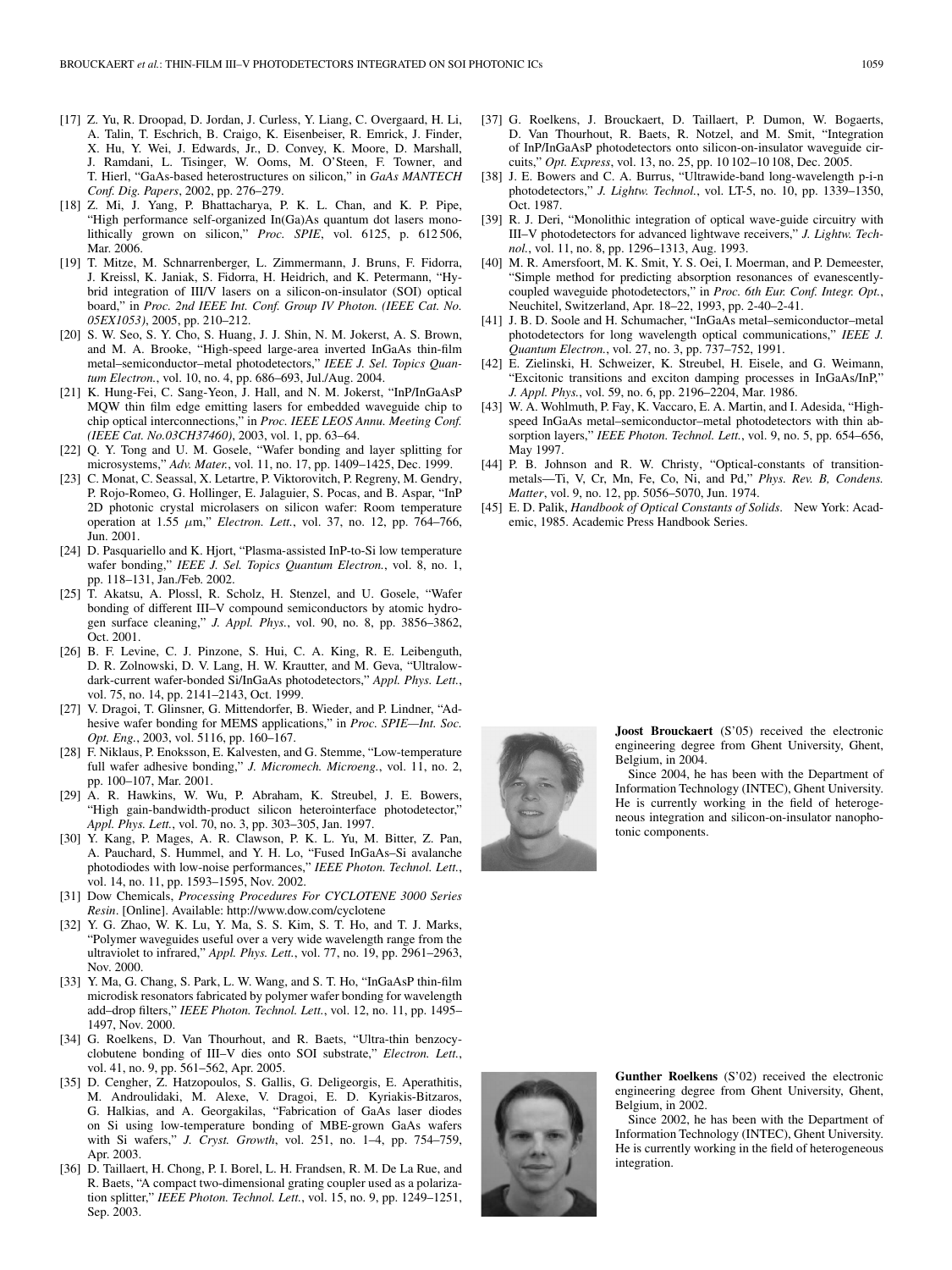- [17] Z. Yu, R. Droopad, D. Jordan, J. Curless, Y. Liang, C. Overgaard, H. Li, A. Talin, T. Eschrich, B. Craigo, K. Eisenbeiser, R. Emrick, J. Finder, X. Hu, Y. Wei, J. Edwards, Jr., D. Convey, K. Moore, D. Marshall, J. Ramdani, L. Tisinger, W. Ooms, M. O'Steen, F. Towner, and T. Hierl, "GaAs-based heterostructures on silicon," in *GaAs MANTECH Conf. Dig. Papers*, 2002, pp. 276–279.
- [18] Z. Mi, J. Yang, P. Bhattacharya, P. K. L. Chan, and K. P. Pipe, "High performance self-organized In(Ga)As quantum dot lasers monolithically grown on silicon," *Proc. SPIE*, vol. 6125, p. 612 506, Mar. 2006.
- [19] T. Mitze, M. Schnarrenberger, L. Zimmermann, J. Bruns, F. Fidorra, J. Kreissl, K. Janiak, S. Fidorra, H. Heidrich, and K. Petermann, "Hybrid integration of III/V lasers on a silicon-on-insulator (SOI) optical board," in *Proc. 2nd IEEE Int. Conf. Group IV Photon. (IEEE Cat. No. 05EX1053)*, 2005, pp. 210–212.
- [20] S. W. Seo, S. Y. Cho, S. Huang, J. J. Shin, N. M. Jokerst, A. S. Brown, and M. A. Brooke, "High-speed large-area inverted InGaAs thin-film metal–semiconductor–metal photodetectors," *IEEE J. Sel. Topics Quantum Electron.*, vol. 10, no. 4, pp. 686–693, Jul./Aug. 2004.
- [21] K. Hung-Fei, C. Sang-Yeon, J. Hall, and N. M. Jokerst, "InP/InGaAsP MQW thin film edge emitting lasers for embedded waveguide chip to chip optical interconnections," in *Proc. IEEE LEOS Annu. Meeting Conf. (IEEE Cat. No.03CH37460)*, 2003, vol. 1, pp. 63–64.
- [22] Q. Y. Tong and U. M. Gosele, "Wafer bonding and layer splitting for microsystems," *Adv. Mater.*, vol. 11, no. 17, pp. 1409–1425, Dec. 1999.
- [23] C. Monat, C. Seassal, X. Letartre, P. Viktorovitch, P. Regreny, M. Gendry, P. Rojo-Romeo, G. Hollinger, E. Jalaguier, S. Pocas, and B. Aspar, "InP 2D photonic crystal microlasers on silicon wafer: Room temperature operation at 1.55 µm," *Electron. Lett.*, vol. 37, no. 12, pp. 764–766, Jun. 2001.
- [24] D. Pasquariello and K. Hjort, "Plasma-assisted InP-to-Si low temperature wafer bonding," *IEEE J. Sel. Topics Quantum Electron.*, vol. 8, no. 1, pp. 118–131, Jan./Feb. 2002.
- [25] T. Akatsu, A. Plossl, R. Scholz, H. Stenzel, and U. Gosele, "Wafer bonding of different III–V compound semiconductors by atomic hydrogen surface cleaning," *J. Appl. Phys.*, vol. 90, no. 8, pp. 3856–3862, Oct. 2001.
- [26] B. F. Levine, C. J. Pinzone, S. Hui, C. A. King, R. E. Leibenguth, D. R. Zolnowski, D. V. Lang, H. W. Krautter, and M. Geva, "Ultralowdark-current wafer-bonded Si/InGaAs photodetectors," *Appl. Phys. Lett.*, vol. 75, no. 14, pp. 2141–2143, Oct. 1999.
- [27] V. Dragoi, T. Glinsner, G. Mittendorfer, B. Wieder, and P. Lindner, "Adhesive wafer bonding for MEMS applications," in *Proc. SPIE—Int. Soc. Opt. Eng.*, 2003, vol. 5116, pp. 160–167.
- [28] F. Niklaus, P. Enoksson, E. Kalvesten, and G. Stemme, "Low-temperature full wafer adhesive bonding," *J. Micromech. Microeng.*, vol. 11, no. 2, pp. 100–107, Mar. 2001.
- [29] A. R. Hawkins, W. Wu, P. Abraham, K. Streubel, J. E. Bowers, "High gain-bandwidth-product silicon heterointerface photodetector," *Appl. Phys. Lett.*, vol. 70, no. 3, pp. 303–305, Jan. 1997.
- [30] Y. Kang, P. Mages, A. R. Clawson, P. K. L. Yu, M. Bitter, Z. Pan, A. Pauchard, S. Hummel, and Y. H. Lo, "Fused InGaAs–Si avalanche photodiodes with low-noise performances," *IEEE Photon. Technol. Lett.*, vol. 14, no. 11, pp. 1593–1595, Nov. 2002.
- [31] Dow Chemicals, *Processing Procedures For CYCLOTENE 3000 Series Resin*. [Online]. Available: http://www.dow.com/cyclotene
- [32] Y. G. Zhao, W. K. Lu, Y. Ma, S. S. Kim, S. T. Ho, and T. J. Marks, "Polymer waveguides useful over a very wide wavelength range from the ultraviolet to infrared," *Appl. Phys. Lett.*, vol. 77, no. 19, pp. 2961–2963, Nov. 2000.
- [33] Y. Ma, G. Chang, S. Park, L. W. Wang, and S. T. Ho, "InGaAsP thin-film microdisk resonators fabricated by polymer wafer bonding for wavelength add–drop filters," *IEEE Photon. Technol. Lett.*, vol. 12, no. 11, pp. 1495– 1497, Nov. 2000.
- [34] G. Roelkens, D. Van Thourhout, and R. Baets, "Ultra-thin benzocyclobutene bonding of III–V dies onto SOI substrate," *Electron. Lett.*, vol. 41, no. 9, pp. 561–562, Apr. 2005.
- [35] D. Cengher, Z. Hatzopoulos, S. Gallis, G. Deligeorgis, E. Aperathitis, M. Androulidaki, M. Alexe, V. Dragoi, E. D. Kyriakis-Bitzaros, G. Halkias, and A. Georgakilas, "Fabrication of GaAs laser diodes on Si using low-temperature bonding of MBE-grown GaAs wafers with Si wafers," *J. Cryst. Growth*, vol. 251, no. 1–4, pp. 754–759, Apr. 2003.
- [36] D. Taillaert, H. Chong, P. I. Borel, L. H. Frandsen, R. M. De La Rue, and R. Baets, "A compact two-dimensional grating coupler used as a polarization splitter," *IEEE Photon. Technol. Lett.*, vol. 15, no. 9, pp. 1249–1251, Sep. 2003.
- [37] G. Roelkens, J. Brouckaert, D. Taillaert, P. Dumon, W. Bogaerts, D. Van Thourhout, R. Baets, R. Notzel, and M. Smit, "Integration of InP/InGaAsP photodetectors onto silicon-on-insulator waveguide circuits," *Opt. Express*, vol. 13, no. 25, pp. 10 102–10 108, Dec. 2005.
- [38] J. E. Bowers and C. A. Burrus, "Ultrawide-band long-wavelength p-i-n photodetectors," *J. Lightw. Technol.*, vol. LT-5, no. 10, pp. 1339–1350, Oct. 1987.
- [39] R. J. Deri, "Monolithic integration of optical wave-guide circuitry with III–V photodetectors for advanced lightwave receivers," *J. Lightw. Technol.*, vol. 11, no. 8, pp. 1296–1313, Aug. 1993.
- [40] M. R. Amersfoort, M. K. Smit, Y. S. Oei, I. Moerman, and P. Demeester, "Simple method for predicting absorption resonances of evanescentlycoupled waveguide photodetectors," in *Proc. 6th Eur. Conf. Integr. Opt.*, Neuchitel, Switzerland, Apr. 18–22, 1993, pp. 2-40–2-41.
- [41] J. B. D. Soole and H. Schumacher, "InGaAs metal–semiconductor–metal photodetectors for long wavelength optical communications," *IEEE J. Quantum Electron.*, vol. 27, no. 3, pp. 737–752, 1991.
- [42] E. Zielinski, H. Schweizer, K. Streubel, H. Eisele, and G. Weimann, "Excitonic transitions and exciton damping processes in InGaAs/InP," *J. Appl. Phys.*, vol. 59, no. 6, pp. 2196–2204, Mar. 1986.
- [43] W. A. Wohlmuth, P. Fay, K. Vaccaro, E. A. Martin, and I. Adesida, "Highspeed InGaAs metal–semiconductor–metal photodetectors with thin absorption layers," *IEEE Photon. Technol. Lett.*, vol. 9, no. 5, pp. 654–656, May 1997.
- [44] P. B. Johnson and R. W. Christy, "Optical-constants of transitionmetals—Ti, V, Cr, Mn, Fe, Co, Ni, and Pd," *Phys. Rev. B, Condens. Matter*, vol. 9, no. 12, pp. 5056–5070, Jun. 1974.
- [45] E. D. Palik, *Handbook of Optical Constants of Solids*. New York: Academic, 1985. Academic Press Handbook Series.



**Joost Brouckaert** (S'05) received the electronic engineering degree from Ghent University, Ghent, Belgium, in 2004.

Since 2004, he has been with the Department of Information Technology (INTEC), Ghent University. He is currently working in the field of heterogeneous integration and silicon-on-insulator nanophotonic components.



**Gunther Roelkens** (S'02) received the electronic engineering degree from Ghent University, Ghent, Belgium, in 2002.

Since 2002, he has been with the Department of Information Technology (INTEC), Ghent University. He is currently working in the field of heterogeneous integration.